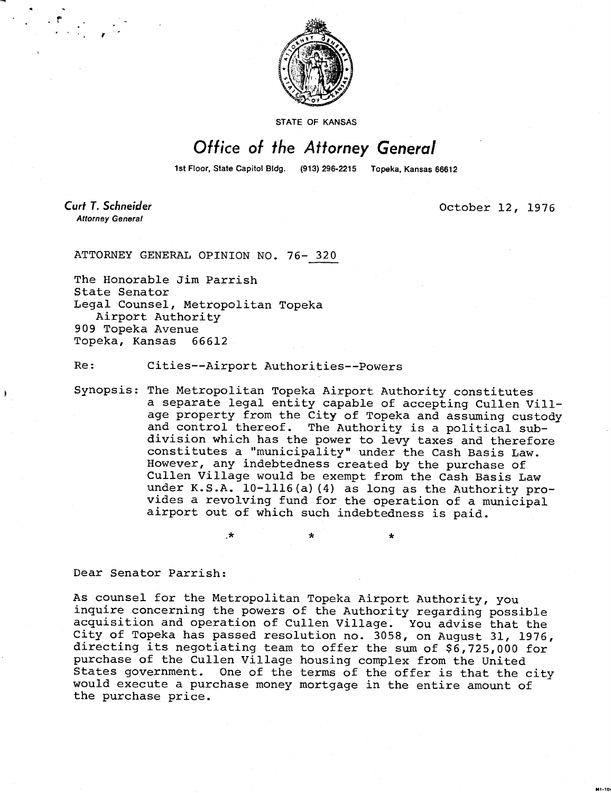

STATE OF KANSAS

## Office of the Attorney General

1st Floor, State Capitol Bldg. (913) 296-2215 Topeka, Kansas 66612

**Curt T. Schneider Attorney General** 

October 12, 1976

ATTORNEY GENERAL OPINION NO. 76- 320

The Honorable Jim Parrish State Senator Legal Counsel, Metropolitan Topeka Airport Authority 909 Topeka Avenue Topeka, Kansas 66612

Re: Cities--Airport Authorities--Powers

\*

Synopsis: The Metropolitan Topeka Airport Authority constitutes a separate legal entity capable of accepting Cullen Village property from the City of Topeka and assuming custody and control thereof. The Authority is a political subdivision which has the power to levy taxes and therefore constitutes a "municipality" under the Cash Basis Law. However, any indebtedness created by the purchase of Cullen Village would be exempt from the Cash Basis Law under K.S.A. 10-1116(a)(4) as long as the Authority provides a revolving fund for the operation of a municipal airport out of which such indebtedness is paid.

Dear Senator Parrish:

As counsel for the Metropolitan Topeka Airport Authority, you inquire concerning the powers of the Authority regarding possible acquisition and operation of Cullen Village. You advise that the City of Topeka has passed resolution no. 3058, on August 31, 1976, directing its negotiating team to offer the sum of \$6,725,000 for purchase of the Cullen Village housing complex from the United States government. One of the terms of the offer is that the city would execute a purchase money mortgage in the entire amount of the purchase price.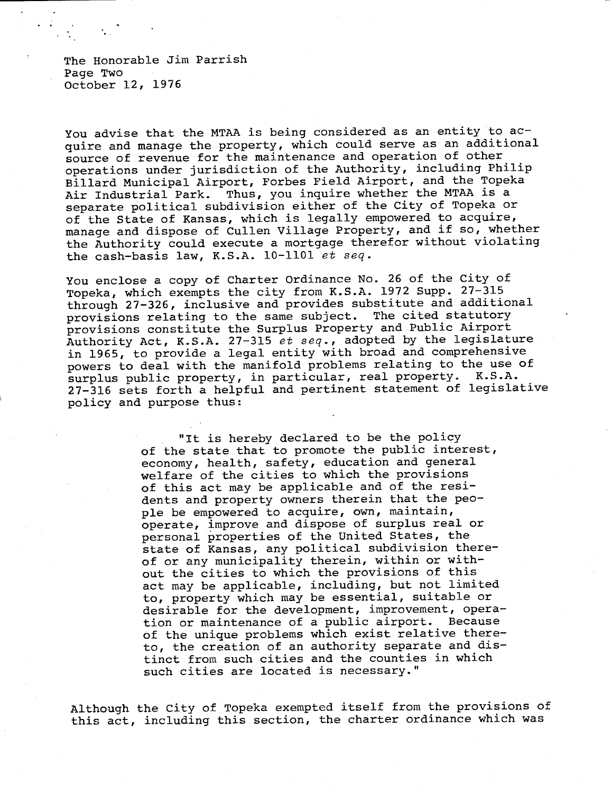The Honorable Jim Parrish Page Two October 12, 1976

You advise that the MTAA is being considered as an entity to acquire and manage the property, which could serve as an additional source of revenue for the maintenance and operation of other operations under jurisdiction of the Authority, including Philip Billard Municipal Airport, Forbes Field Airport, and the Topeka Air Industrial Park. Thus, you inquire whether the MTAA is a separate political subdivision either of the City of Topeka or of the State of Kansas, which is legally empowered to acquire, manage and dispose of Cullen Village Property, and if so, whether the Authority could execute a mortgage therefor without violating the cash-basis law, K.S.A. 10-1101 et seq.

You enclose a copy of Charter Ordinance No. 26 of the City of Topeka, which exempts the city from K.S.A. 1972 Supp. 27-315 through 27-326, inclusive and provides substitute and additional provisions relating to the same subject. The cited statutory provisions constitute the Surplus Property and Public Airport Authority Act, K.S.A. 27-315 et seq., adopted by the legislature in 1965, to provide a legal entity with broad and comprehensive powers to deal with the manifold problems relating to the use of surplus public property, in particular, real property. K.S.A. 27-316 sets forth a helpful and pertinent statement of legislative policy and purpose thus:

> "It is hereby declared to be the policy of the state that to promote the public interest, economy, health, safety, education and general welfare of the cities to which the provisions of this act may be applicable and of the residents and property owners therein that the people be empowered to acquire, own, maintain, operate, improve and dispose of surplus real or personal properties of the United States, the state of Kansas, any political subdivision thereof or any municipality therein, within or without the cities to which the provisions of this act may be applicable, including, but not limited to, property which may be essential, suitable or desirable for the development, improvement, operation or maintenance of a public airport. Because of the unique problems which exist relative thereto, the creation of an authority separate and distinct from such cities and the counties in which such cities are located is necessary."

Although the City of Topeka exempted itself from the provisions of this act, including this section, the charter ordinance which was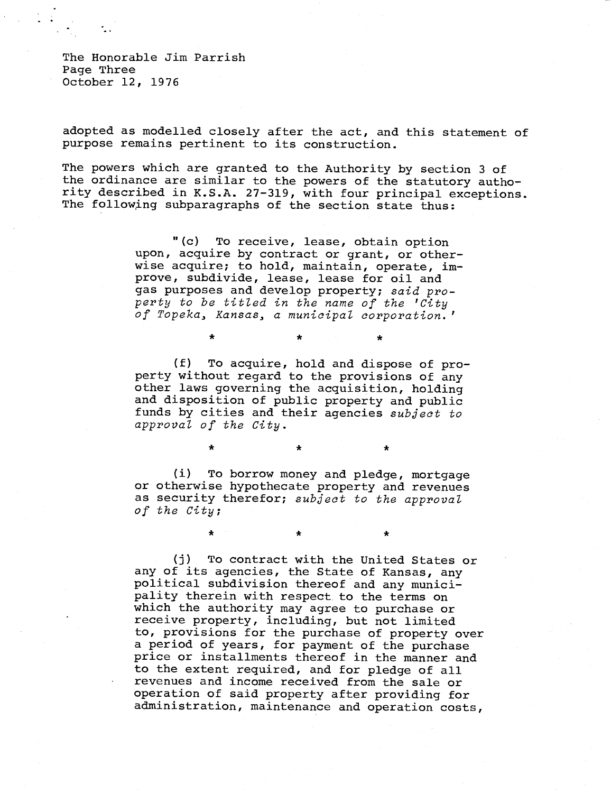The Honorable Jim Parrish Page Three October 12, 1976

adopted as modelled closely after the act, and this statement of purpose remains pertinent to its construction.

The powers which are granted to the Authority by section 3 of the ordinance are similar to the powers of the statutory authority described in K.S.A. 27-319, with four principal exceptions. The following subparagraphs of the section state thus:

> "(c) To receive, lease, obtain option upon, acquire by contract or grant, or otherwise acquire; to hold, maintain, operate, improve, subdivide, lease, lease for oil and gas purposes and develop property; said property to be titled in the name of the 'City of Topeka, Kansas, a municipal corporation.'

> > $\star$

(f) To acquire, hold and dispose of property without regard to the provisions of any other laws governing the acquisition, holding and disposition of public property and public funds by cities and their agencies subject to approval of the City.

(i) To borrow money and pledge, mortgage or otherwise hypothecate property and revenues as security therefor; subject to the approval of the City;

 $\bullet$ 

\*

\*

(j) To contract with the United States or any of its agencies, the State of Kansas, any political subdivision thereof and any municipality therein with respect to the terms on which the authority may agree to purchase or receive property, including, but not limited to, provisions for the purchase of property over a period of years, for payment of the purchase price or installments thereof in the manner and to the extent required, and for pledge of all revenues and income received from the sale or operation of said property after providing for administration, maintenance and operation costs,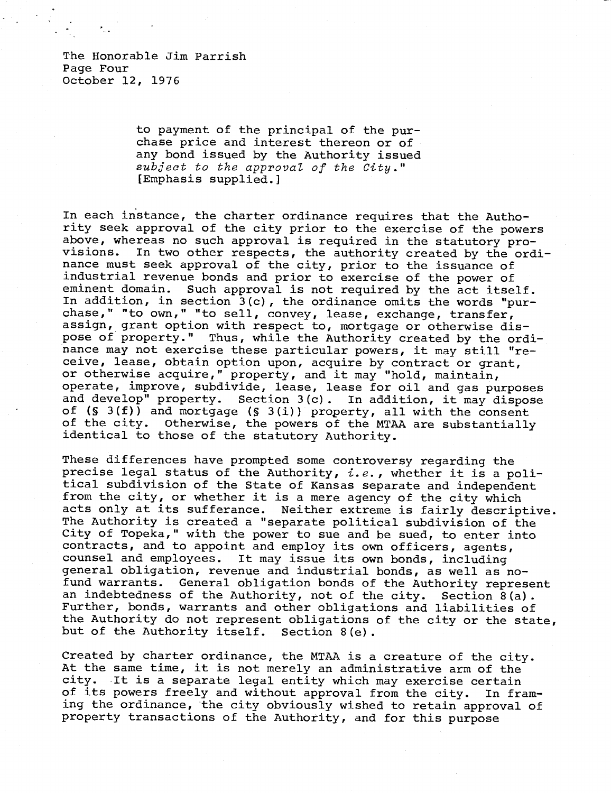The Honorable Jim Parrish Page Four October 12, 1976

> to payment of the principal of the purchase price and interest thereon or of any bond issued by the Authority issued subject to the approval of the City." [Emphasis supplied.]

In each instance, the charter ordinance requires that the Authority seek approval of the city prior to the exercise of the powers above, whereas no such approval is required in the statutory provisions. In two other respects, the authority created by the ordinance must seek approval of the city, prior to the issuance of industrial revenue bonds and prior to exercise of the power of eminent domain. Such approval is not required by the act itself. In addition, in section 3(c), the ordinance omits the words "purchase," "to own," "to sell, convey, lease, exchange, transfer, assign, grant option with respect to, mortgage or otherwise dispose of property." Thus, while the Authority created by the ordinance may not exercise these particular powers, it may still "receive, lease, obtain option upon, acquire by contract or grant, or otherwise acquire," property, and it may "hold, maintain, operate, improve, subdivide, lease, lease for oil and gas purposes and develop" property. Section 3(c). In addition, it may dispose of (§ 3(f)) and mortgage (§ 3(i)) property, all with the consent of the city. Otherwise, the powers of the MTAA are substantially identical to those of the statutory Authority.

These differences have prompted some controversy regarding the precise legal status of the Authority,  $i.e.,$  whether it is a political subdivision of the State of Kansas separate and independent from the city, or whether it is a mere agency of the city which acts only at its sufferance. Neither extreme is fairly descriptive. The Authority is created a "separate political subdivision of the City of Topeka," with the power to sue and be sued, to enter into contracts, and to appoint and employ its own officers, agents, counsel and employees. It may issue its own bonds, including general obligation, revenue and industrial bonds, as well as nofund warrants. General obligation bonds of the Authority represent an indebtedness of the Authority, not of the city. Section 8(a). Further, bonds, warrants and other obligations and liabilities of the Authority do not represent obligations of the city or the state, but of the Authority itself. Section 8(e).

Created by charter ordinance, the MTAA is a creature of the city. At the same time, it is not merely an administrative arm of the city. It is a separate legal entity which may exercise certain of its powers freely and without approval from the city. In framing the ordinance, the city obviously wished to retain approval of property transactions of the Authority, and for this purpose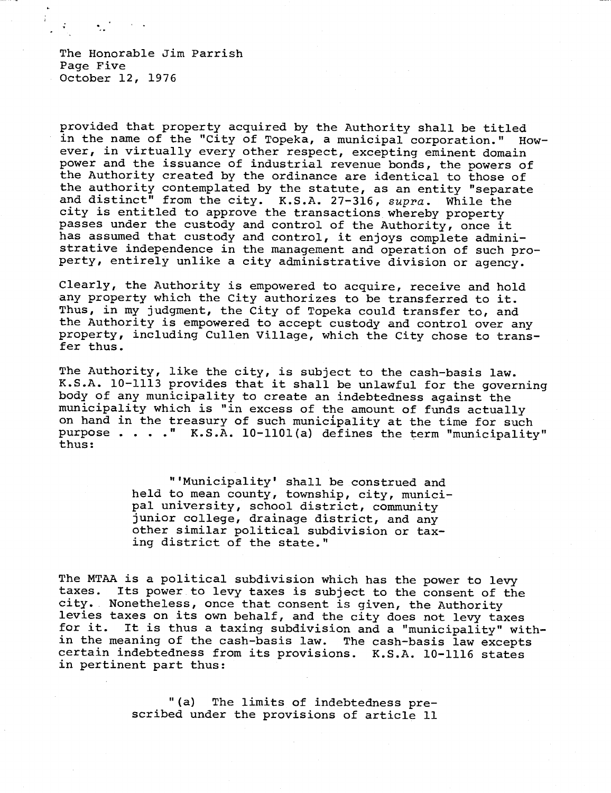The Honorable Jim Parrish Page Five October 12, 1976

provided that property acquired by the Authority shall be titled in the name of the "City of Topeka, a municipal corporation." However, in virtually every other respect, excepting eminent domain power and the issuance of industrial revenue bonds, the powers of the Authority created by the ordinance are identical to those of the authority contemplated by the statute, as an entity "separate and distinct" from the city. K.S.A. 27-316, supra. While the city is entitled to approve the transactions whereby property passes under the custody and control of the Authority, once it has assumed that custody and control, it enjoys complete administrative independence in the management and operation of such property, entirely unlike a city administrative division or agency.

Clearly, the Authority is empowered to acquire, receive and hold any property which the City authorizes to be transferred to it. Thus, in my judgment, the City of Topeka could transfer to, and the Authority is empowered to accept custody and control over any property, including Cullen Village, which the City chose to transfer thus.

The Authority, like the city, is subject to the cash-basis law. K.S.A. 10-1113 provides that it shall be unlawful for the governing body of any municipality to create an indebtedness against the municipality which is "in excess of the amount of funds actually on hand in the treasury of such municipality at the time for such purpose . . . ." K.S.A. 10-1101(a) defines the term "municipality" thus:

> "'Municipality' shall be construed and held to mean county, township, city, municipal university, school district, community junior college, drainage district, and any other similar political subdivision or taxing district of the state."

The MTAA is a political subdivision which has the power to levy taxes. Its power to levy taxes is subject to the consent of the Its power to levy taxes is subject to the consent of the city. Nonetheless, once that consent is given, the Authority levies taxes on its own behalf, and the city does not levy taxes for it. It is thus a taxing subdivision and a "municipality" within the meaning of the cash-basis law. The cash-basis law excepts certain indebtedness from its provisions. K.S.A. 10-1116 states in pertinent part thus:

> "(a) The limits of indebtedness prescribed under the provisions of article 11